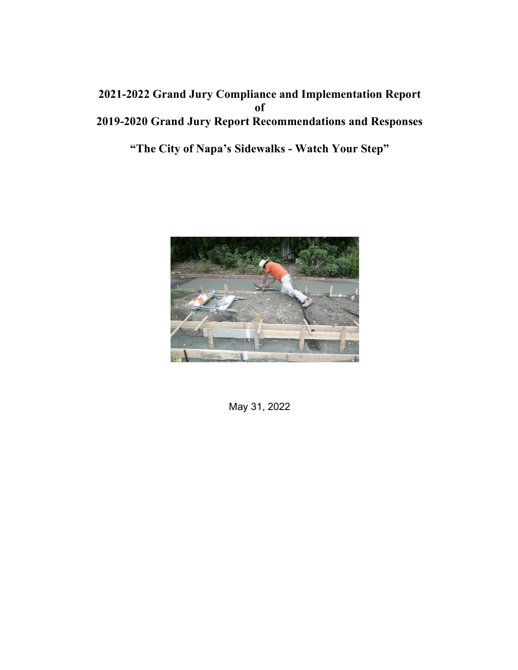# **2021-2022 Grand Jury Compliance and Implementation Report of 2019-2020 Grand Jury Report Recommendations and Responses**

**"The City of Napa's Sidewalks - Watch Your Step"**



May 31, 2022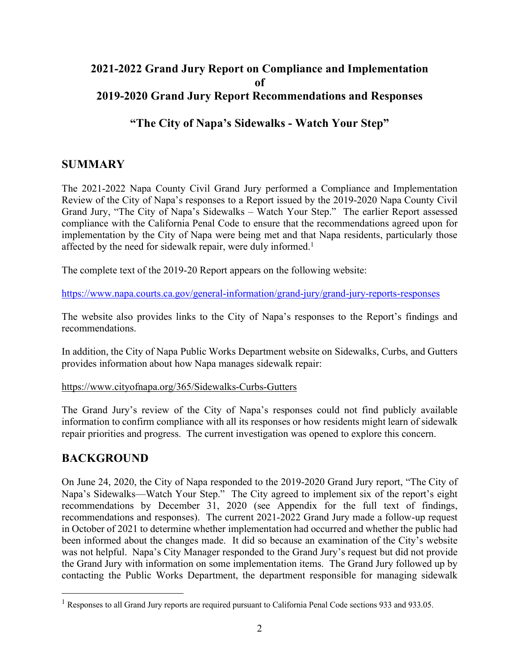#### **2021-2022 Grand Jury Report on Compliance and Implementation of 2019-2020 Grand Jury Report Recommendations and Responses**

## **"The City of Napa's Sidewalks - Watch Your Step"**

# **SUMMARY**

The 2021-2022 Napa County Civil Grand Jury performed a Compliance and Implementation Review of the City of Napa's responses to a Report issued by the 2019-2020 Napa County Civil Grand Jury, "The City of Napa's Sidewalks – Watch Your Step." The earlier Report assessed compliance with the California Penal Code to ensure that the recommendations agreed upon for implementation by the City of Napa were being met and that Napa residents, particularly those affected by the need for sidewalk repair, were duly informed.<sup>1</sup>

The complete text of the 2019-20 Report appears on the following website:

https://www.napa.courts.ca.gov/general-information/grand-jury/grand-jury-reports-responses

The website also provides links to the City of Napa's responses to the Report's findings and recommendations.

In addition, the City of Napa Public Works Department website on Sidewalks, Curbs, and Gutters provides information about how Napa manages sidewalk repair:

#### https://www.cityofnapa.org/365/Sidewalks-Curbs-Gutters

The Grand Jury's review of the City of Napa's responses could not find publicly available information to confirm compliance with all its responses or how residents might learn of sidewalk repair priorities and progress. The current investigation was opened to explore this concern.

### **BACKGROUND**

On June 24, 2020, the City of Napa responded to the 2019-2020 Grand Jury report, "The City of Napa's Sidewalks—Watch Your Step." The City agreed to implement six of the report's eight recommendations by December 31, 2020 (see Appendix for the full text of findings, recommendations and responses). The current 2021-2022 Grand Jury made a follow-up request in October of 2021 to determine whether implementation had occurred and whether the public had been informed about the changes made. It did so because an examination of the City's website was not helpful. Napa's City Manager responded to the Grand Jury's request but did not provide the Grand Jury with information on some implementation items. The Grand Jury followed up by contacting the Public Works Department, the department responsible for managing sidewalk

 $1$  Responses to all Grand Jury reports are required pursuant to California Penal Code sections 933 and 933.05.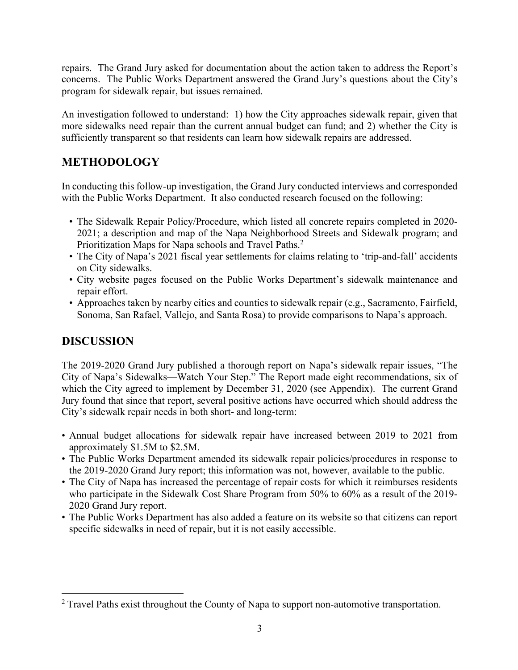repairs. The Grand Jury asked for documentation about the action taken to address the Report's concerns. The Public Works Department answered the Grand Jury's questions about the City's program for sidewalk repair, but issues remained.

An investigation followed to understand: 1) how the City approaches sidewalk repair, given that more sidewalks need repair than the current annual budget can fund; and 2) whether the City is sufficiently transparent so that residents can learn how sidewalk repairs are addressed.

# **METHODOLOGY**

In conducting this follow-up investigation, the Grand Jury conducted interviews and corresponded with the Public Works Department. It also conducted research focused on the following:

- The Sidewalk Repair Policy/Procedure, which listed all concrete repairs completed in 2020- 2021; a description and map of the Napa Neighborhood Streets and Sidewalk program; and Prioritization Maps for Napa schools and Travel Paths.<sup>2</sup>
- The City of Napa's 2021 fiscal year settlements for claims relating to 'trip-and-fall' accidents on City sidewalks.
- City website pages focused on the Public Works Department's sidewalk maintenance and repair effort.
- Approaches taken by nearby cities and counties to sidewalk repair (e.g., Sacramento, Fairfield, Sonoma, San Rafael, Vallejo, and Santa Rosa) to provide comparisons to Napa's approach.

# **DISCUSSION**

The 2019-2020 Grand Jury published a thorough report on Napa's sidewalk repair issues, "The City of Napa's Sidewalks—Watch Your Step." The Report made eight recommendations, six of which the City agreed to implement by December 31, 2020 (see Appendix). The current Grand Jury found that since that report, several positive actions have occurred which should address the City's sidewalk repair needs in both short- and long-term:

- Annual budget allocations for sidewalk repair have increased between 2019 to 2021 from approximately \$1.5M to \$2.5M.
- The Public Works Department amended its sidewalk repair policies/procedures in response to the 2019-2020 Grand Jury report; this information was not, however, available to the public.
- The City of Napa has increased the percentage of repair costs for which it reimburses residents who participate in the Sidewalk Cost Share Program from 50% to 60% as a result of the 2019- 2020 Grand Jury report.
- The Public Works Department has also added a feature on its website so that citizens can report specific sidewalks in need of repair, but it is not easily accessible.

<sup>&</sup>lt;sup>2</sup> Travel Paths exist throughout the County of Napa to support non-automotive transportation.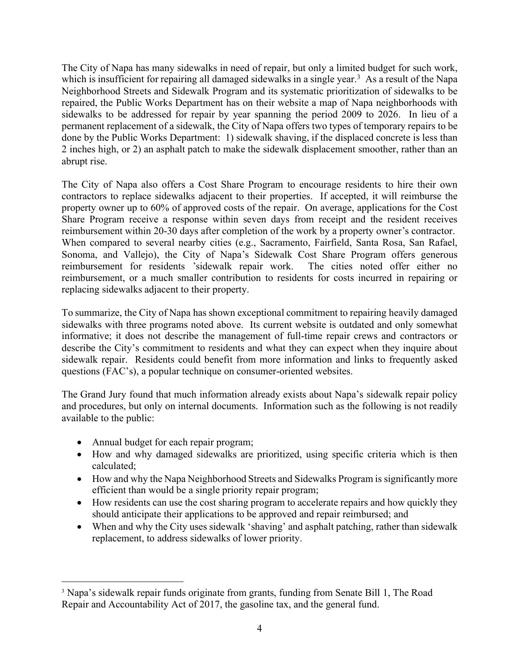The City of Napa has many sidewalks in need of repair, but only a limited budget for such work, which is insufficient for repairing all damaged sidewalks in a single year.<sup>3</sup> As a result of the Napa Neighborhood Streets and Sidewalk Program and its systematic prioritization of sidewalks to be repaired, the Public Works Department has on their website a map of Napa neighborhoods with sidewalks to be addressed for repair by year spanning the period 2009 to 2026. In lieu of a permanent replacement of a sidewalk, the City of Napa offers two types of temporary repairs to be done by the Public Works Department: 1) sidewalk shaving, if the displaced concrete is less than 2 inches high, or 2) an asphalt patch to make the sidewalk displacement smoother, rather than an abrupt rise.

The City of Napa also offers a Cost Share Program to encourage residents to hire their own contractors to replace sidewalks adjacent to their properties. If accepted, it will reimburse the property owner up to 60% of approved costs of the repair. On average, applications for the Cost Share Program receive a response within seven days from receipt and the resident receives reimbursement within 20-30 days after completion of the work by a property owner's contractor. When compared to several nearby cities (e.g., Sacramento, Fairfield, Santa Rosa, San Rafael, Sonoma, and Vallejo), the City of Napa's Sidewalk Cost Share Program offers generous reimbursement for residents 'sidewalk repair work. The cities noted offer either no reimbursement, or a much smaller contribution to residents for costs incurred in repairing or replacing sidewalks adjacent to their property.

To summarize, the City of Napa has shown exceptional commitment to repairing heavily damaged sidewalks with three programs noted above. Its current website is outdated and only somewhat informative; it does not describe the management of full-time repair crews and contractors or describe the City's commitment to residents and what they can expect when they inquire about sidewalk repair. Residents could benefit from more information and links to frequently asked questions (FAC's), a popular technique on consumer-oriented websites.

The Grand Jury found that much information already exists about Napa's sidewalk repair policy and procedures, but only on internal documents. Information such as the following is not readily available to the public:

- Annual budget for each repair program;
- How and why damaged sidewalks are prioritized, using specific criteria which is then calculated;
- How and why the Napa Neighborhood Streets and Sidewalks Program is significantly more efficient than would be a single priority repair program;
- How residents can use the cost sharing program to accelerate repairs and how quickly they should anticipate their applications to be approved and repair reimbursed; and
- When and why the City uses sidewalk 'shaving' and asphalt patching, rather than sidewalk replacement, to address sidewalks of lower priority.

<sup>&</sup>lt;sup>3</sup> Napa's sidewalk repair funds originate from grants, funding from Senate Bill 1, The Road Repair and Accountability Act of 2017, the gasoline tax, and the general fund.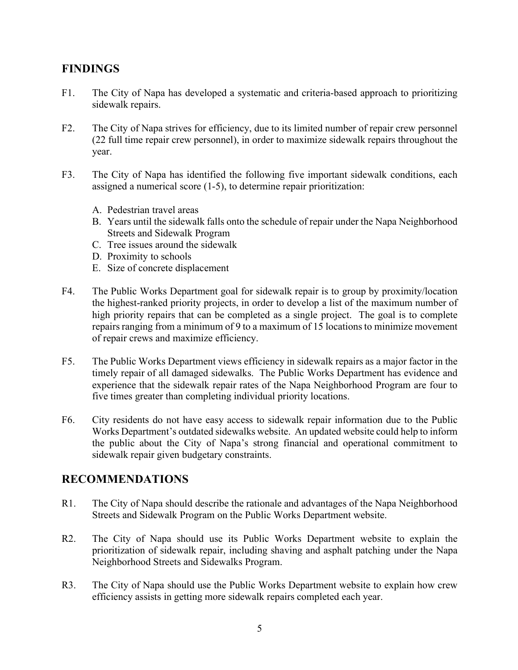## **FINDINGS**

- F1. The City of Napa has developed a systematic and criteria-based approach to prioritizing sidewalk repairs.
- F2. The City of Napa strives for efficiency, due to its limited number of repair crew personnel (22 full time repair crew personnel), in order to maximize sidewalk repairs throughout the year.
- F3. The City of Napa has identified the following five important sidewalk conditions, each assigned a numerical score (1-5), to determine repair prioritization:
	- A. Pedestrian travel areas
	- B. Years until the sidewalk falls onto the schedule of repair under the Napa Neighborhood Streets and Sidewalk Program
	- C. Tree issues around the sidewalk
	- D. Proximity to schools
	- E. Size of concrete displacement
- F4. The Public Works Department goal for sidewalk repair is to group by proximity/location the highest-ranked priority projects, in order to develop a list of the maximum number of high priority repairs that can be completed as a single project. The goal is to complete repairs ranging from a minimum of 9 to a maximum of 15 locations to minimize movement of repair crews and maximize efficiency.
- F5. The Public Works Department views efficiency in sidewalk repairs as a major factor in the timely repair of all damaged sidewalks. The Public Works Department has evidence and experience that the sidewalk repair rates of the Napa Neighborhood Program are four to five times greater than completing individual priority locations.
- F6. City residents do not have easy access to sidewalk repair information due to the Public Works Department's outdated sidewalks website. An updated website could help to inform the public about the City of Napa's strong financial and operational commitment to sidewalk repair given budgetary constraints.

#### **RECOMMENDATIONS**

- R1. The City of Napa should describe the rationale and advantages of the Napa Neighborhood Streets and Sidewalk Program on the Public Works Department website.
- R2. The City of Napa should use its Public Works Department website to explain the prioritization of sidewalk repair, including shaving and asphalt patching under the Napa Neighborhood Streets and Sidewalks Program.
- R3. The City of Napa should use the Public Works Department website to explain how crew efficiency assists in getting more sidewalk repairs completed each year.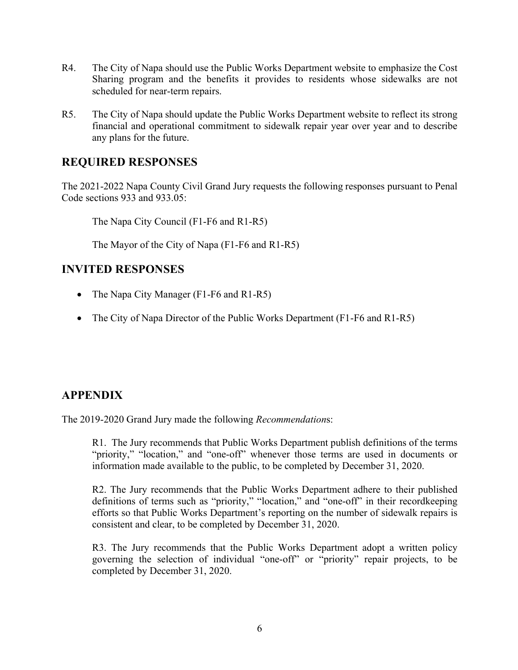- R4. The City of Napa should use the Public Works Department website to emphasize the Cost Sharing program and the benefits it provides to residents whose sidewalks are not scheduled for near-term repairs.
- R5. The City of Napa should update the Public Works Department website to reflect its strong financial and operational commitment to sidewalk repair year over year and to describe any plans for the future.

### **REQUIRED RESPONSES**

The 2021-2022 Napa County Civil Grand Jury requests the following responses pursuant to Penal Code sections 933 and 933.05:

The Napa City Council (F1-F6 and R1-R5)

The Mayor of the City of Napa (F1-F6 and R1-R5)

#### **INVITED RESPONSES**

- The Napa City Manager (F1-F6 and R1-R5)
- The City of Napa Director of the Public Works Department (F1-F6 and R1-R5)

# **APPENDIX**

The 2019-2020 Grand Jury made the following *Recommendation*s:

R1. The Jury recommends that Public Works Department publish definitions of the terms "priority," "location," and "one-off" whenever those terms are used in documents or information made available to the public, to be completed by December 31, 2020.

R2. The Jury recommends that the Public Works Department adhere to their published definitions of terms such as "priority," "location," and "one-off" in their recordkeeping efforts so that Public Works Department's reporting on the number of sidewalk repairs is consistent and clear, to be completed by December 31, 2020.

R3. The Jury recommends that the Public Works Department adopt a written policy governing the selection of individual "one-off" or "priority" repair projects, to be completed by December 31, 2020.